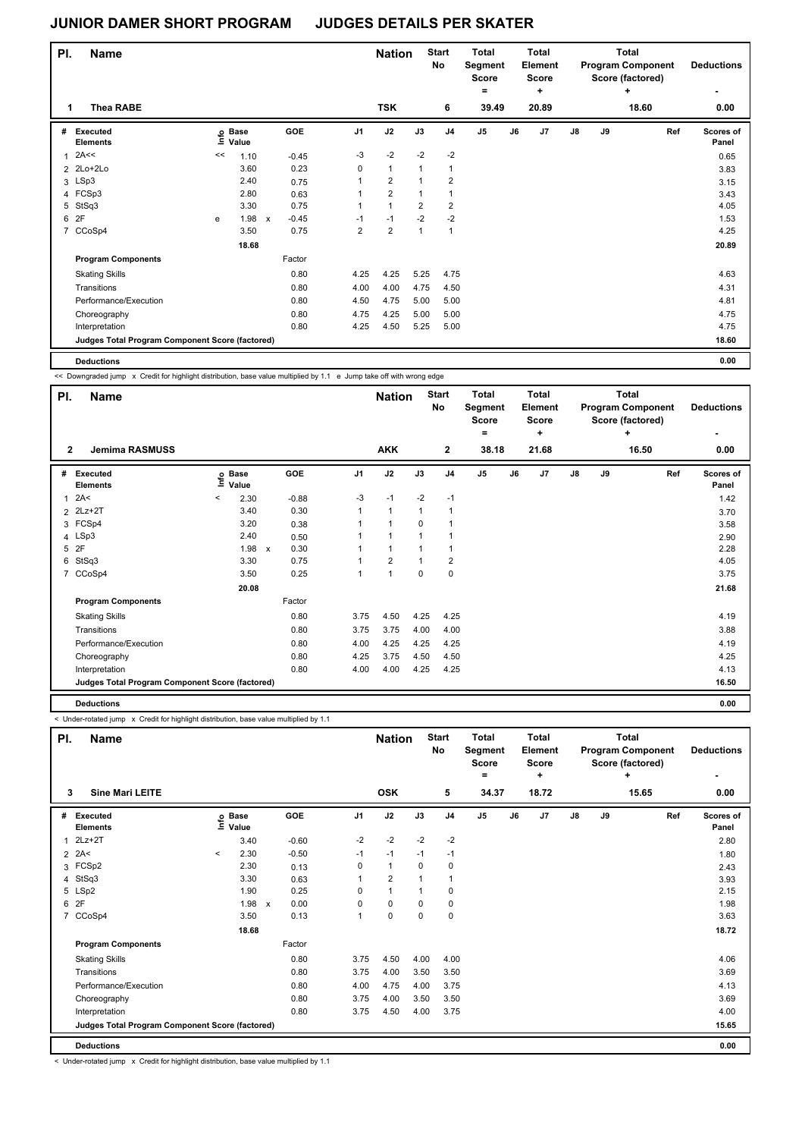## **JUNIOR DAMER SHORT PROGRAM JUDGES DETAILS PER SKATER**

| PI.            | <b>Name</b>                                     |    |                            |   | <b>Nation</b> |                |                         | <b>Total</b><br>Segment<br><b>Score</b><br>= |                | <b>Total</b><br>Element<br><b>Score</b><br>÷ |    |       | <b>Total</b><br><b>Program Component</b><br>Score (factored)<br>$\ddot{}$ | <b>Deductions</b> |       |                    |
|----------------|-------------------------------------------------|----|----------------------------|---|---------------|----------------|-------------------------|----------------------------------------------|----------------|----------------------------------------------|----|-------|---------------------------------------------------------------------------|-------------------|-------|--------------------|
| 1.             | <b>Thea RABE</b>                                |    |                            |   |               |                | <b>TSK</b>              |                                              | 6              | 39.49                                        |    | 20.89 |                                                                           |                   | 18.60 | 0.00               |
| #              | Executed<br><b>Elements</b>                     |    | e Base<br>≡ Value<br>Value |   | <b>GOE</b>    | J <sub>1</sub> | J2                      | J3                                           | J <sub>4</sub> | J5                                           | J6 | J7    | $\mathsf{J}8$                                                             | J9                | Ref   | Scores of<br>Panel |
| 1              | 2A<<                                            | << | 1.10                       |   | $-0.45$       | $-3$           | $-2$                    | $-2$                                         | $-2$           |                                              |    |       |                                                                           |                   |       | 0.65               |
|                | 2 2Lo+2Lo                                       |    | 3.60                       |   | 0.23          | 0              | $\mathbf{1}$            | 1                                            | 1              |                                              |    |       |                                                                           |                   |       | 3.83               |
|                | 3 LSp3                                          |    | 2.40                       |   | 0.75          | 1              | $\overline{2}$          | 1                                            | $\overline{2}$ |                                              |    |       |                                                                           |                   |       | 3.15               |
|                | 4 FCSp3                                         |    | 2.80                       |   | 0.63          | 1              | $\overline{2}$          | 1                                            | 1              |                                              |    |       |                                                                           |                   |       | 3.43               |
| 5              | StSq3                                           |    | 3.30                       |   | 0.75          | 1              | $\mathbf{1}$            | $\overline{2}$                               | $\overline{2}$ |                                              |    |       |                                                                           |                   |       | 4.05               |
| 6              | 2F                                              | e  | 1.98                       | X | $-0.45$       | $-1$           | $-1$                    | $-2$                                         | $-2$           |                                              |    |       |                                                                           |                   |       | 1.53               |
| $\overline{7}$ | CCoSp4                                          |    | 3.50                       |   | 0.75          | $\overline{2}$ | $\overline{\mathbf{c}}$ | 1                                            | $\overline{1}$ |                                              |    |       |                                                                           |                   |       | 4.25               |
|                |                                                 |    | 18.68                      |   |               |                |                         |                                              |                |                                              |    |       |                                                                           |                   |       | 20.89              |
|                | <b>Program Components</b>                       |    |                            |   | Factor        |                |                         |                                              |                |                                              |    |       |                                                                           |                   |       |                    |
|                | <b>Skating Skills</b>                           |    |                            |   | 0.80          | 4.25           | 4.25                    | 5.25                                         | 4.75           |                                              |    |       |                                                                           |                   |       | 4.63               |
|                | Transitions                                     |    |                            |   | 0.80          | 4.00           | 4.00                    | 4.75                                         | 4.50           |                                              |    |       |                                                                           |                   |       | 4.31               |
|                | Performance/Execution                           |    |                            |   | 0.80          | 4.50           | 4.75                    | 5.00                                         | 5.00           |                                              |    |       |                                                                           |                   |       | 4.81               |
|                | Choreography                                    |    |                            |   | 0.80          | 4.75           | 4.25                    | 5.00                                         | 5.00           |                                              |    |       |                                                                           |                   |       | 4.75               |
|                | Interpretation                                  |    |                            |   | 0.80          | 4.25           | 4.50                    | 5.25                                         | 5.00           |                                              |    |       |                                                                           |                   |       | 4.75               |
|                | Judges Total Program Component Score (factored) |    |                            |   |               |                |                         |                                              |                |                                              |    |       |                                                                           |                   |       | 18.60              |
|                |                                                 |    |                            |   |               |                |                         |                                              |                |                                              |    |       |                                                                           |                   |       |                    |

**Deductions 0.00**

ı

<< Downgraded jump x Credit for highlight distribution, base value multiplied by 1.1 e Jump take off with wrong edge

| PI.          | <b>Name</b>                                     |         |                   | <b>Nation</b>                     |                | <b>Start</b><br><b>No</b> | <b>Total</b><br>Segment<br><b>Score</b><br>۰ |                          | <b>Total</b><br>Element<br><b>Score</b><br>÷ |    |                | <b>Total</b><br><b>Program Component</b><br>Score (factored)<br>÷ | <b>Deductions</b> |       |                    |
|--------------|-------------------------------------------------|---------|-------------------|-----------------------------------|----------------|---------------------------|----------------------------------------------|--------------------------|----------------------------------------------|----|----------------|-------------------------------------------------------------------|-------------------|-------|--------------------|
| $\mathbf{2}$ | <b>Jemima RASMUSS</b>                           |         |                   |                                   |                | <b>AKK</b>                |                                              | $\overline{2}$           | 38.18                                        |    | 21.68          |                                                                   |                   | 16.50 | 0.00               |
| #            | Executed<br><b>Elements</b>                     |         | e Base<br>⊑ Value | <b>GOE</b>                        | J <sub>1</sub> | J2                        | J3                                           | J <sub>4</sub>           | J <sub>5</sub>                               | J6 | J <sub>7</sub> | $\mathsf{J}8$                                                     | J9                | Ref   | Scores of<br>Panel |
| 1            | 2A<                                             | $\,<\,$ | 2.30              | $-0.88$                           | $-3$           | $-1$                      | $-2$                                         | $-1$                     |                                              |    |                |                                                                   |                   |       | 1.42               |
|              | 2 2Lz+2T                                        |         | 3.40              | 0.30                              |                | $\mathbf{1}$              | $\mathbf{1}$                                 | $\mathbf{1}$             |                                              |    |                |                                                                   |                   |       | 3.70               |
|              | 3 FCSp4                                         |         | 3.20              | 0.38                              |                | $\mathbf{1}$              | $\Omega$                                     | $\overline{\phantom{a}}$ |                                              |    |                |                                                                   |                   |       | 3.58               |
|              | 4 LSp3                                          |         | 2.40              | 0.50                              |                |                           |                                              |                          |                                              |    |                |                                                                   |                   |       | 2.90               |
| 5            | 2F                                              |         | 1.98              | 0.30<br>$\boldsymbol{\mathsf{x}}$ |                | 1                         |                                              | 1                        |                                              |    |                |                                                                   |                   |       | 2.28               |
| 6            | StSq3                                           |         | 3.30              | 0.75                              |                | $\overline{2}$            |                                              | 2                        |                                              |    |                |                                                                   |                   |       | 4.05               |
| 7            | CCoSp4                                          |         | 3.50              | 0.25                              |                | $\mathbf{1}$              | 0                                            | 0                        |                                              |    |                |                                                                   |                   |       | 3.75               |
|              |                                                 |         | 20.08             |                                   |                |                           |                                              |                          |                                              |    |                |                                                                   |                   |       | 21.68              |
|              | <b>Program Components</b>                       |         |                   | Factor                            |                |                           |                                              |                          |                                              |    |                |                                                                   |                   |       |                    |
|              | <b>Skating Skills</b>                           |         |                   | 0.80                              | 3.75           | 4.50                      | 4.25                                         | 4.25                     |                                              |    |                |                                                                   |                   |       | 4.19               |
|              | Transitions                                     |         |                   | 0.80                              | 3.75           | 3.75                      | 4.00                                         | 4.00                     |                                              |    |                |                                                                   |                   |       | 3.88               |
|              | Performance/Execution                           |         |                   | 0.80                              | 4.00           | 4.25                      | 4.25                                         | 4.25                     |                                              |    |                |                                                                   |                   |       | 4.19               |
|              | Choreography                                    |         |                   | 0.80                              | 4.25           | 3.75                      | 4.50                                         | 4.50                     |                                              |    |                |                                                                   |                   |       | 4.25               |
|              | Interpretation                                  |         |                   | 0.80                              | 4.00           | 4.00                      | 4.25                                         | 4.25                     |                                              |    |                |                                                                   |                   |       | 4.13               |
|              | Judges Total Program Component Score (factored) |         |                   |                                   |                |                           |                                              |                          |                                              |    |                |                                                                   |                   |       | 16.50              |
|              | <b>Deductions</b>                               |         |                   |                                   |                |                           |                                              |                          |                                              |    |                |                                                                   |                   |       | 0.00               |

< Under-rotated jump x Credit for highlight distribution, base value multiplied by 1.1

| PI. | Name                                            |                                  |                      |                           |            |      | <b>Nation</b>        |      | <b>Start</b><br>No | Total<br>Segment<br><b>Score</b><br>٠ |    | Total<br>Element<br><b>Score</b><br>÷ |               |    | <b>Total</b><br><b>Program Component</b><br>Score (factored)<br>٠ | <b>Deductions</b>  |
|-----|-------------------------------------------------|----------------------------------|----------------------|---------------------------|------------|------|----------------------|------|--------------------|---------------------------------------|----|---------------------------------------|---------------|----|-------------------------------------------------------------------|--------------------|
| 3   | <b>Sine Mari LEITE</b>                          |                                  |                      |                           |            |      | <b>OSK</b>           |      | 5                  | 34.37                                 |    | 18.72                                 |               |    | 15.65                                                             | 0.00               |
| #   | <b>Executed</b><br><b>Elements</b>              | $\mathop{\mathsf{Irr}}\nolimits$ | <b>Base</b><br>Value |                           | <b>GOE</b> | J1   | J2                   | J3   | J <sub>4</sub>     | J <sub>5</sub>                        | J6 | J <sub>7</sub>                        | $\mathsf{J}8$ | J9 | Ref                                                               | Scores of<br>Panel |
| 1   | $2Lz+2T$                                        |                                  | 3.40                 |                           | $-0.60$    | $-2$ | $-2$                 | $-2$ | $-2$               |                                       |    |                                       |               |    |                                                                   | 2.80               |
|     | $2$ 2A<                                         | $\prec$                          | 2.30                 |                           | $-0.50$    | $-1$ | $-1$                 | $-1$ | $-1$               |                                       |    |                                       |               |    |                                                                   | 1.80               |
|     | 3 FCSp2                                         |                                  | 2.30                 |                           | 0.13       | 0    | $\mathbf{1}$         | 0    | 0                  |                                       |    |                                       |               |    |                                                                   | 2.43               |
| 4   | StSq3                                           |                                  | 3.30                 |                           | 0.63       | 1    | $\overline{2}$       | 1    | 1                  |                                       |    |                                       |               |    |                                                                   | 3.93               |
|     | 5 LSp2                                          |                                  | 1.90                 |                           | 0.25       | 0    | $\blacktriangleleft$ | 1    | 0                  |                                       |    |                                       |               |    |                                                                   | 2.15               |
|     | 6 2F                                            |                                  | 1.98                 | $\boldsymbol{\mathsf{x}}$ | 0.00       | 0    | $\Omega$             | 0    | 0                  |                                       |    |                                       |               |    |                                                                   | 1.98               |
|     | 7 CCoSp4                                        |                                  | 3.50                 |                           | 0.13       | 1    | 0                    | 0    | 0                  |                                       |    |                                       |               |    |                                                                   | 3.63               |
|     |                                                 |                                  | 18.68                |                           |            |      |                      |      |                    |                                       |    |                                       |               |    |                                                                   | 18.72              |
|     | <b>Program Components</b>                       |                                  |                      |                           | Factor     |      |                      |      |                    |                                       |    |                                       |               |    |                                                                   |                    |
|     | <b>Skating Skills</b>                           |                                  |                      |                           | 0.80       | 3.75 | 4.50                 | 4.00 | 4.00               |                                       |    |                                       |               |    |                                                                   | 4.06               |
|     | Transitions                                     |                                  |                      |                           | 0.80       | 3.75 | 4.00                 | 3.50 | 3.50               |                                       |    |                                       |               |    |                                                                   | 3.69               |
|     | Performance/Execution                           |                                  |                      |                           | 0.80       | 4.00 | 4.75                 | 4.00 | 3.75               |                                       |    |                                       |               |    |                                                                   | 4.13               |
|     | Choreography                                    |                                  |                      |                           | 0.80       | 3.75 | 4.00                 | 3.50 | 3.50               |                                       |    |                                       |               |    |                                                                   | 3.69               |
|     | Interpretation                                  |                                  |                      |                           | 0.80       | 3.75 | 4.50                 | 4.00 | 3.75               |                                       |    |                                       |               |    |                                                                   | 4.00               |
|     | Judges Total Program Component Score (factored) |                                  |                      |                           |            |      |                      |      |                    |                                       |    |                                       |               |    |                                                                   | 15.65              |
|     | <b>Deductions</b>                               |                                  |                      |                           |            |      |                      |      |                    |                                       |    |                                       |               |    |                                                                   | 0.00               |

< Under-rotated jump x Credit for highlight distribution, base value multiplied by 1.1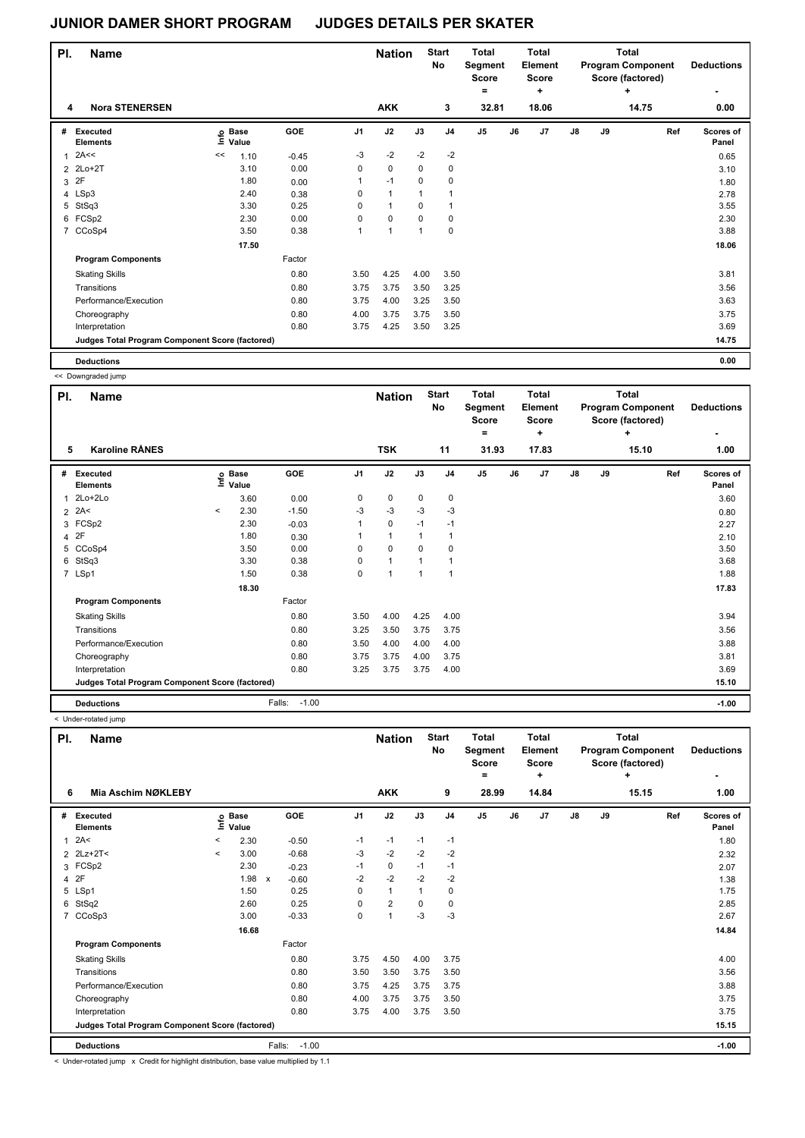## **JUNIOR DAMER SHORT PROGRAM JUDGES DETAILS PER SKATER**

| PI. | <b>Name</b>                                     |    |                                  | <b>Nation</b> | <b>Start</b><br>No |                      | <b>Total</b><br>Segment<br><b>Score</b><br>۰ |                | <b>Total</b><br><b>Element</b><br><b>Score</b><br>٠ |    |       | Total<br><b>Program Component</b><br>Score (factored)<br>٠ | <b>Deductions</b> |       |                    |
|-----|-------------------------------------------------|----|----------------------------------|---------------|--------------------|----------------------|----------------------------------------------|----------------|-----------------------------------------------------|----|-------|------------------------------------------------------------|-------------------|-------|--------------------|
| 4   | <b>Nora STENERSEN</b>                           |    |                                  |               |                    | <b>AKK</b>           |                                              | 3              | 32.81                                               |    | 18.06 |                                                            |                   | 14.75 | 0.00               |
| #   | <b>Executed</b><br><b>Elements</b>              |    | <b>Base</b><br>e Base<br>⊑ Value | GOE           | J <sub>1</sub>     | J2                   | J3                                           | J <sub>4</sub> | J <sub>5</sub>                                      | J6 | J7    | J8                                                         | J9                | Ref   | Scores of<br>Panel |
|     | 2A<<                                            | << | 1.10                             | $-0.45$       | $-3$               | $-2$                 | $-2$                                         | $-2$           |                                                     |    |       |                                                            |                   |       | 0.65               |
|     | 2 2Lo+2T                                        |    | 3.10                             | 0.00          | 0                  | $\mathbf 0$          | 0                                            | 0              |                                                     |    |       |                                                            |                   |       | 3.10               |
| 3   | 2F                                              |    | 1.80                             | 0.00          | 1                  | $-1$                 | $\Omega$                                     | 0              |                                                     |    |       |                                                            |                   |       | 1.80               |
|     | 4 LSp3                                          |    | 2.40                             | 0.38          | 0                  | $\blacktriangleleft$ | $\overline{1}$                               |                |                                                     |    |       |                                                            |                   |       | 2.78               |
| 5   | StSq3                                           |    | 3.30                             | 0.25          | 0                  | $\mathbf{1}$         | 0                                            |                |                                                     |    |       |                                                            |                   |       | 3.55               |
|     | 6 FCSp2                                         |    | 2.30                             | 0.00          | 0                  | $\mathbf 0$          | 0                                            | 0              |                                                     |    |       |                                                            |                   |       | 2.30               |
|     | 7 CCoSp4                                        |    | 3.50                             | 0.38          | 1                  | $\mathbf{1}$         | $\overline{1}$                               | 0              |                                                     |    |       |                                                            |                   |       | 3.88               |
|     |                                                 |    | 17.50                            |               |                    |                      |                                              |                |                                                     |    |       |                                                            |                   |       | 18.06              |
|     | <b>Program Components</b>                       |    |                                  | Factor        |                    |                      |                                              |                |                                                     |    |       |                                                            |                   |       |                    |
|     | <b>Skating Skills</b>                           |    |                                  | 0.80          | 3.50               | 4.25                 | 4.00                                         | 3.50           |                                                     |    |       |                                                            |                   |       | 3.81               |
|     | Transitions                                     |    |                                  | 0.80          | 3.75               | 3.75                 | 3.50                                         | 3.25           |                                                     |    |       |                                                            |                   |       | 3.56               |
|     | Performance/Execution                           |    |                                  | 0.80          | 3.75               | 4.00                 | 3.25                                         | 3.50           |                                                     |    |       |                                                            |                   |       | 3.63               |
|     | Choreography                                    |    |                                  | 0.80          | 4.00               | 3.75                 | 3.75                                         | 3.50           |                                                     |    |       |                                                            |                   |       | 3.75               |
|     | Interpretation                                  |    |                                  | 0.80          | 3.75               | 4.25                 | 3.50                                         | 3.25           |                                                     |    |       |                                                            |                   |       | 3.69               |
|     | Judges Total Program Component Score (factored) |    |                                  |               |                    |                      |                                              |                |                                                     |    |       |                                                            |                   |       | 14.75              |
|     | <b>Deductions</b>                               |    |                                  |               |                    |                      |                                              |                |                                                     |    |       |                                                            |                   |       | 0.00               |

<< Downgraded jump

| PI.            | <b>Name</b>                                     |                 |                      | <b>Nation</b>     |                | <b>Start</b><br>No | <b>Total</b><br>Segment<br>Score<br>$=$ |                | Total<br>Element<br>Score<br>٠ |    |       | Total<br><b>Program Component</b><br>Score (factored)<br>÷ | <b>Deductions</b> |       |                    |
|----------------|-------------------------------------------------|-----------------|----------------------|-------------------|----------------|--------------------|-----------------------------------------|----------------|--------------------------------|----|-------|------------------------------------------------------------|-------------------|-------|--------------------|
| 5              | <b>Karoline RÅNES</b>                           |                 |                      |                   |                | <b>TSK</b>         |                                         | 11             | 31.93                          |    | 17.83 |                                                            |                   | 15.10 | 1.00               |
| #              | <b>Executed</b><br><b>Elements</b>              | $\mathsf{Info}$ | <b>Base</b><br>Value | GOE               | J <sub>1</sub> | J2                 | J3                                      | J <sub>4</sub> | J <sub>5</sub>                 | J6 | J7    | $\mathsf{J}8$                                              | J9                | Ref   | Scores of<br>Panel |
| 1              | 2Lo+2Lo                                         |                 | 3.60                 | 0.00              | 0              | 0                  | 0                                       | 0              |                                |    |       |                                                            |                   |       | 3.60               |
| $\overline{2}$ | 2A<                                             | $\hat{}$        | 2.30                 | $-1.50$           | $-3$           | $-3$               | $-3$                                    | -3             |                                |    |       |                                                            |                   |       | 0.80               |
|                | 3 FCSp2                                         |                 | 2.30                 | $-0.03$           |                | $\mathbf 0$        | $-1$                                    | $-1$           |                                |    |       |                                                            |                   |       | 2.27               |
| 4              | 2F                                              |                 | 1.80                 | 0.30              |                | $\overline{1}$     |                                         | -1             |                                |    |       |                                                            |                   |       | 2.10               |
| 5              | CCoSp4                                          |                 | 3.50                 | 0.00              | 0              | $\mathbf 0$        | $\mathbf 0$                             | $\mathbf 0$    |                                |    |       |                                                            |                   |       | 3.50               |
| 6              | StSq3                                           |                 | 3.30                 | 0.38              | 0              | $\mathbf{1}$       | 1                                       | $\overline{1}$ |                                |    |       |                                                            |                   |       | 3.68               |
|                | 7 LSp1                                          |                 | 1.50                 | 0.38              | 0              | $\overline{1}$     | 1                                       | $\mathbf{1}$   |                                |    |       |                                                            |                   |       | 1.88               |
|                |                                                 |                 | 18.30                |                   |                |                    |                                         |                |                                |    |       |                                                            |                   |       | 17.83              |
|                | <b>Program Components</b>                       |                 |                      | Factor            |                |                    |                                         |                |                                |    |       |                                                            |                   |       |                    |
|                | <b>Skating Skills</b>                           |                 |                      | 0.80              | 3.50           | 4.00               | 4.25                                    | 4.00           |                                |    |       |                                                            |                   |       | 3.94               |
|                | Transitions                                     |                 |                      | 0.80              | 3.25           | 3.50               | 3.75                                    | 3.75           |                                |    |       |                                                            |                   |       | 3.56               |
|                | Performance/Execution                           |                 |                      | 0.80              | 3.50           | 4.00               | 4.00                                    | 4.00           |                                |    |       |                                                            |                   |       | 3.88               |
|                | Choreography                                    |                 |                      | 0.80              | 3.75           | 3.75               | 4.00                                    | 3.75           |                                |    |       |                                                            |                   |       | 3.81               |
|                | Interpretation                                  |                 |                      | 0.80              | 3.25           | 3.75               | 3.75                                    | 4.00           |                                |    |       |                                                            |                   |       | 3.69               |
|                | Judges Total Program Component Score (factored) |                 |                      |                   |                |                    |                                         |                |                                |    |       |                                                            |                   |       | 15.10              |
|                | <b>Deductions</b>                               |                 |                      | $-1.00$<br>Falls: |                |                    |                                         |                |                                |    |       |                                                            |                   |       | $-1.00$            |

< Under-rotated jump

| PI.            | <b>Name</b>                                     |         |                      |                           |            |                | <b>Nation</b>  |              | <b>Start</b><br><b>No</b> | <b>Total</b><br>Segment<br><b>Score</b><br>= |    | <b>Total</b><br>Element<br><b>Score</b><br>÷ | <b>Total</b><br><b>Program Component</b><br>Score (factored)<br>÷ |    |       | <b>Deductions</b>  |
|----------------|-------------------------------------------------|---------|----------------------|---------------------------|------------|----------------|----------------|--------------|---------------------------|----------------------------------------------|----|----------------------------------------------|-------------------------------------------------------------------|----|-------|--------------------|
| 6              | Mia Aschim NØKLEBY                              |         |                      |                           |            |                | <b>AKK</b>     |              | 9                         | 28.99                                        |    | 14.84                                        |                                                                   |    | 15.15 | 1.00               |
| #              | Executed<br><b>Elements</b>                     | ١f      | <b>Base</b><br>Value |                           | <b>GOE</b> | J <sub>1</sub> | J2             | J3           | J <sub>4</sub>            | J <sub>5</sub>                               | J6 | J <sub>7</sub>                               | $\mathsf{J}8$                                                     | J9 | Ref   | Scores of<br>Panel |
| 1              | 2A<                                             | $\,<\,$ | 2.30                 |                           | $-0.50$    | $-1$           | $-1$           | $-1$         | -1                        |                                              |    |                                              |                                                                   |    |       | 1.80               |
|                | 2 2Lz+2T<                                       | $\prec$ | 3.00                 |                           | $-0.68$    | $-3$           | $-2$           | $-2$         | $-2$                      |                                              |    |                                              |                                                                   |    |       | 2.32               |
|                | 3 FCSp2                                         |         | 2.30                 |                           | $-0.23$    | -1             | 0              | $-1$         | -1                        |                                              |    |                                              |                                                                   |    |       | 2.07               |
| 4              | 2F                                              |         | 1.98                 | $\boldsymbol{\mathsf{x}}$ | $-0.60$    | $-2$           | $-2$           | $-2$         | $-2$                      |                                              |    |                                              |                                                                   |    |       | 1.38               |
|                | 5 LSp1                                          |         | 1.50                 |                           | 0.25       | 0              | $\mathbf{1}$   | $\mathbf{1}$ | 0                         |                                              |    |                                              |                                                                   |    |       | 1.75               |
| 6              | StSq2                                           |         | 2.60                 |                           | 0.25       | 0              | $\overline{2}$ | $\mathbf 0$  | $\mathbf 0$               |                                              |    |                                              |                                                                   |    |       | 2.85               |
| $\overline{7}$ | CCoSp3                                          |         | 3.00                 |                           | $-0.33$    | 0              | $\overline{1}$ | -3           | $-3$                      |                                              |    |                                              |                                                                   |    |       | 2.67               |
|                |                                                 |         | 16.68                |                           |            |                |                |              |                           |                                              |    |                                              |                                                                   |    |       | 14.84              |
|                | <b>Program Components</b>                       |         |                      |                           | Factor     |                |                |              |                           |                                              |    |                                              |                                                                   |    |       |                    |
|                | <b>Skating Skills</b>                           |         |                      |                           | 0.80       | 3.75           | 4.50           | 4.00         | 3.75                      |                                              |    |                                              |                                                                   |    |       | 4.00               |
|                | Transitions                                     |         |                      |                           | 0.80       | 3.50           | 3.50           | 3.75         | 3.50                      |                                              |    |                                              |                                                                   |    |       | 3.56               |
|                | Performance/Execution                           |         |                      |                           | 0.80       | 3.75           | 4.25           | 3.75         | 3.75                      |                                              |    |                                              |                                                                   |    |       | 3.88               |
|                | Choreography                                    |         |                      |                           | 0.80       | 4.00           | 3.75           | 3.75         | 3.50                      |                                              |    |                                              |                                                                   |    |       | 3.75               |
|                | Interpretation                                  |         |                      |                           | 0.80       | 3.75           | 4.00           | 3.75         | 3.50                      |                                              |    |                                              |                                                                   |    |       | 3.75               |
|                | Judges Total Program Component Score (factored) |         |                      |                           |            |                |                |              |                           |                                              |    |                                              |                                                                   |    |       | 15.15              |
|                | <b>Deductions</b>                               |         |                      | Falls:                    | $-1.00$    |                |                |              |                           |                                              |    |                                              |                                                                   |    |       | $-1.00$            |

< Under-rotated jump x Credit for highlight distribution, base value multiplied by 1.1